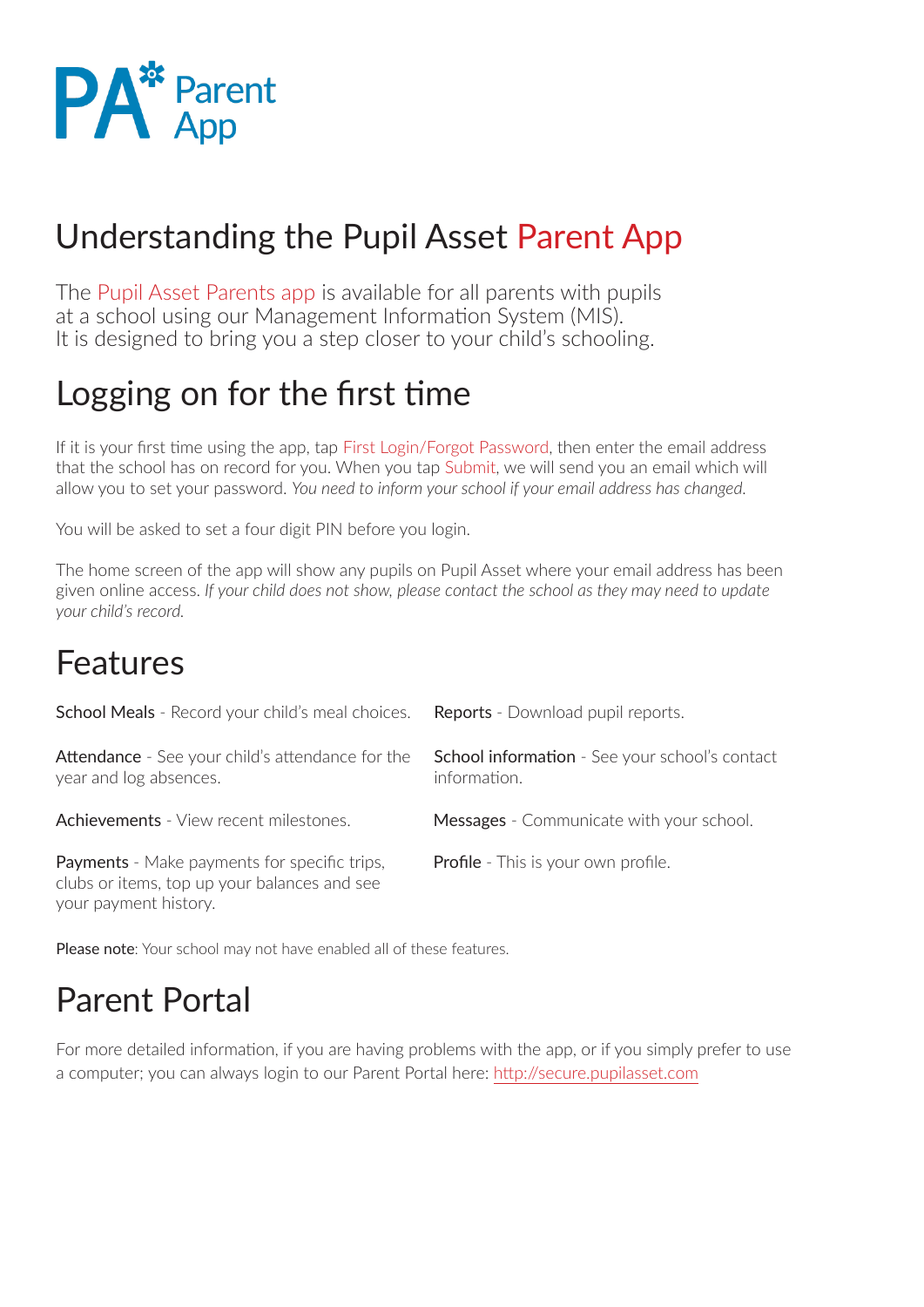

### Understanding the Pupil Asset Parent App

The Pupil Asset Parents app is available for all parents with pupils at a school using our Management Information System (MIS). It is designed to bring you a step closer to your child's schooling.

### Logging on for the first time

If it is your first time using the app, tap First Login/Forgot Password, then enter the email address that the school has on record for you. When you tap Submit, we will send you an email which will allow you to set your password. *You need to inform your school if your email address has changed.*

You will be asked to set a four digit PIN before you login.

The home screen of the app will show any pupils on Pupil Asset where your email address has been given online access. *If your child does not show, please contact the school as they may need to update your child's record.* 

#### Features

| School Meals - Record your child's meal choices.                                                    | <b>Reports</b> - Download pupil reports.                              |
|-----------------------------------------------------------------------------------------------------|-----------------------------------------------------------------------|
| <b>Attendance</b> - See your child's attendance for the<br>year and log absences.                   | <b>School information</b> - See your school's contact<br>information. |
| <b>Achievements</b> - View recent milestones.                                                       | Messages - Communicate with your school.                              |
| <b>Payments</b> - Make payments for specific trips,<br>clubs or items, top up your balances and see | <b>Profile</b> - This is your own profile.                            |

Please note: Your school may not have enabled all of these features.

### Parent Portal

For more detailed information, if you are having problems with the app, or if you simply prefer to use a computer; you can always login to our Parent Portal here: http://secure.pupilasset.com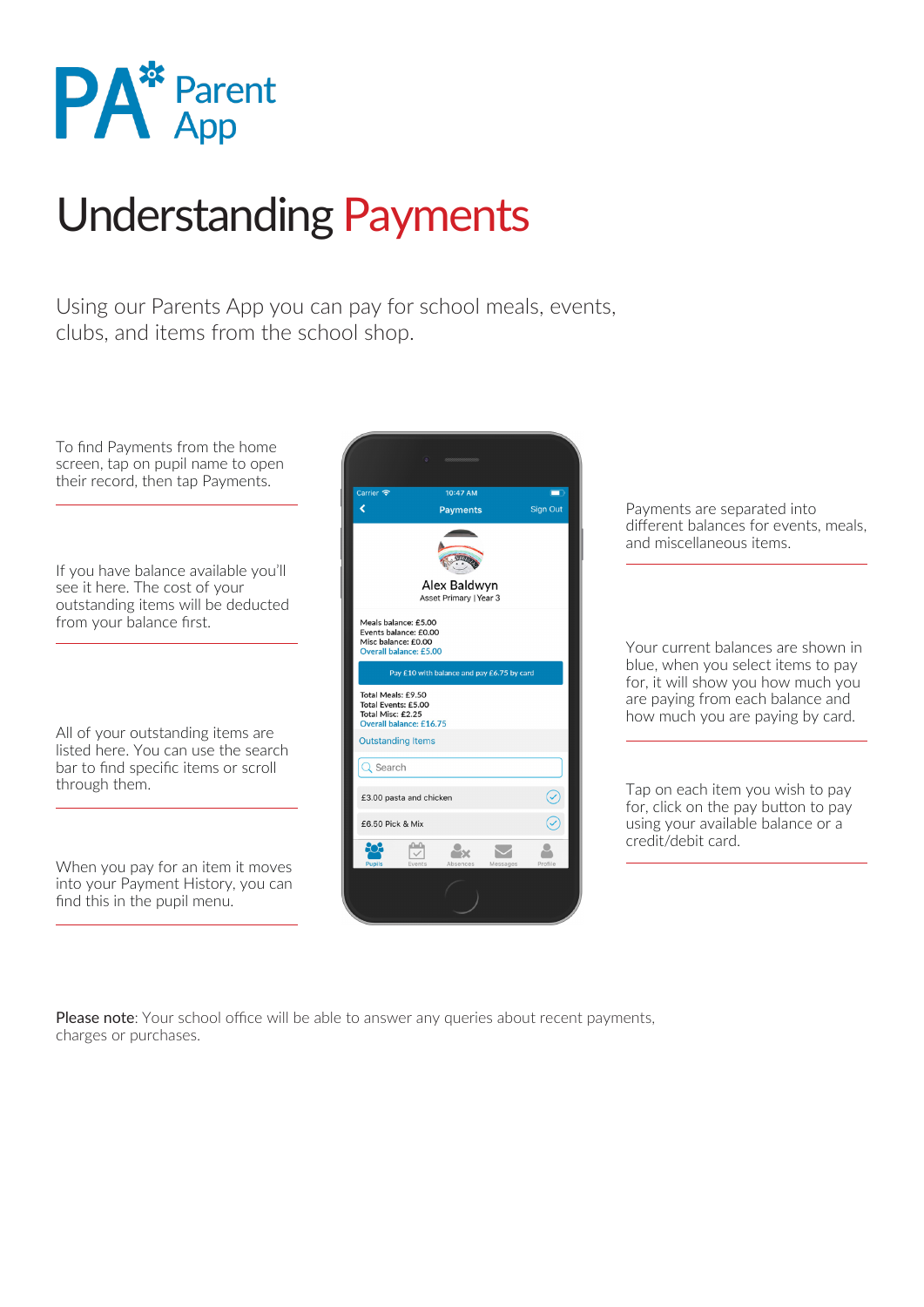

## Understanding Payments

Using our Parents App you can pay for school meals, events, clubs, and items from the school shop.

To find Payments from the home screen, tap on pupil name to open their record, then tap Payments.

If you have balance available you'll see it here. The cost of your outstanding items will be deducted from your balance first.

All of your outstanding items are listed here. You can use the search bar to find specific items or scroll

When you pay for an item it moves into your Payment History, you can find this in the pupil menu.



Payments are separated into different balances for events, meals, and miscellaneous items.

Your current balances are shown in blue, when you select items to pay for, it will show you how much you are paying from each balance and how much you are paying by card.

for, click on the pay button to pay using your available balance or a credit/debit card.

Please note: Your school office will be able to answer any queries about recent payments, charges or purchases.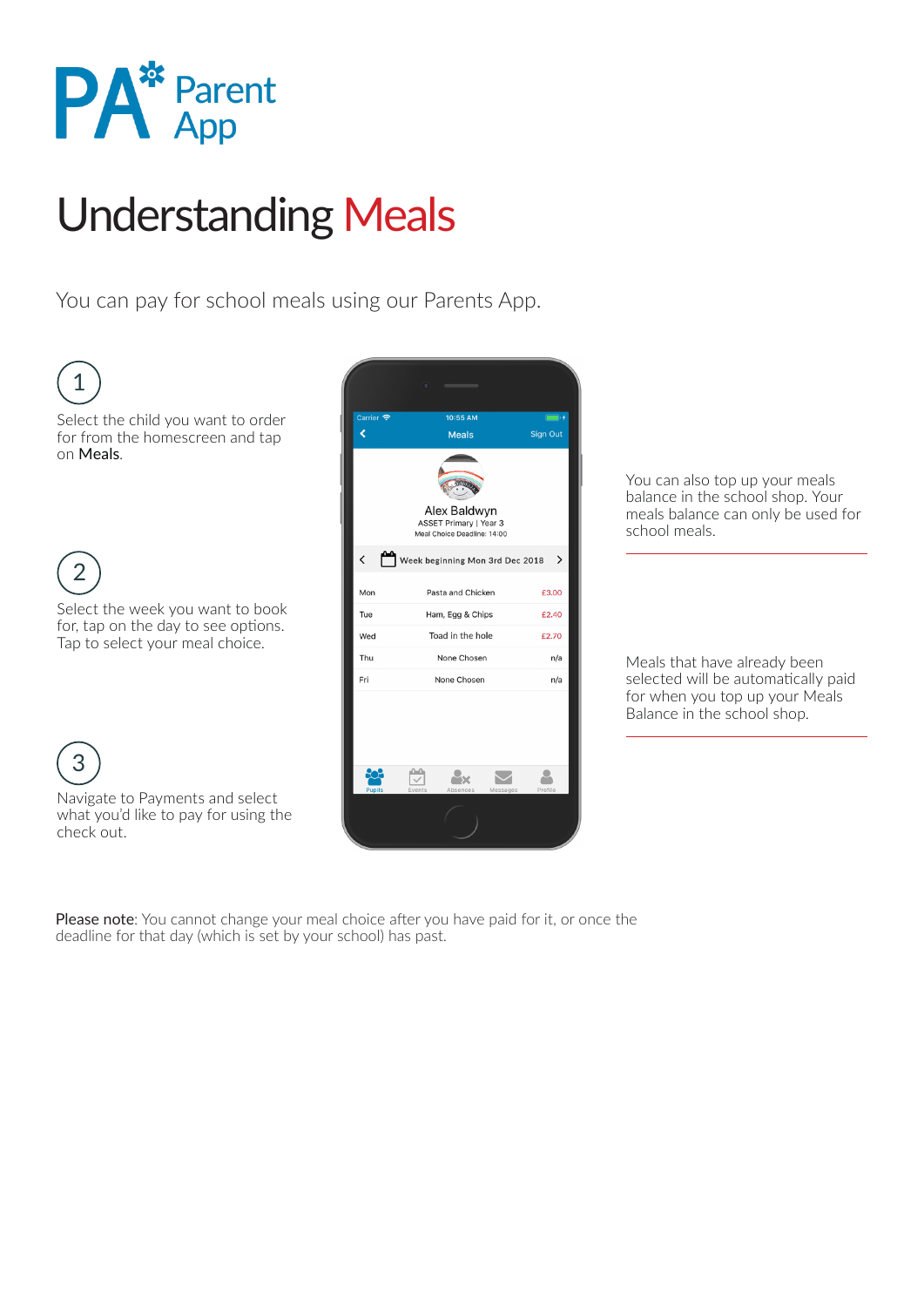

# Understanding Meals

You can pay for school meals using our Parents App.



You can also top up your meals balance in the school shop. Your meals balance can only be used for school meals.

Meals that have already been selected will be automatically paid for when you top up your Meals Balance in the school shop.

Please note: You cannot change your meal choice after you have paid for it, or once the

deadline for that day (which is set by your school) has past.